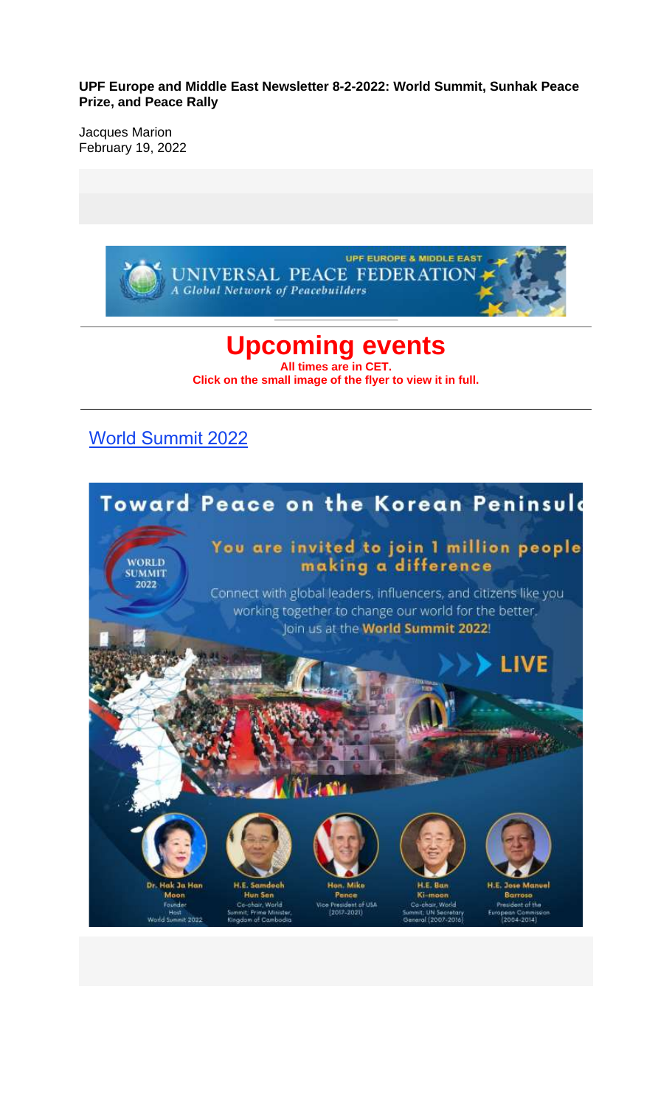**UPF Europe and Middle East Newsletter 8-2-2022: World Summit, Sunhak Peace Prize, and Peace Rally**

Jacques Marion February 19, 2022

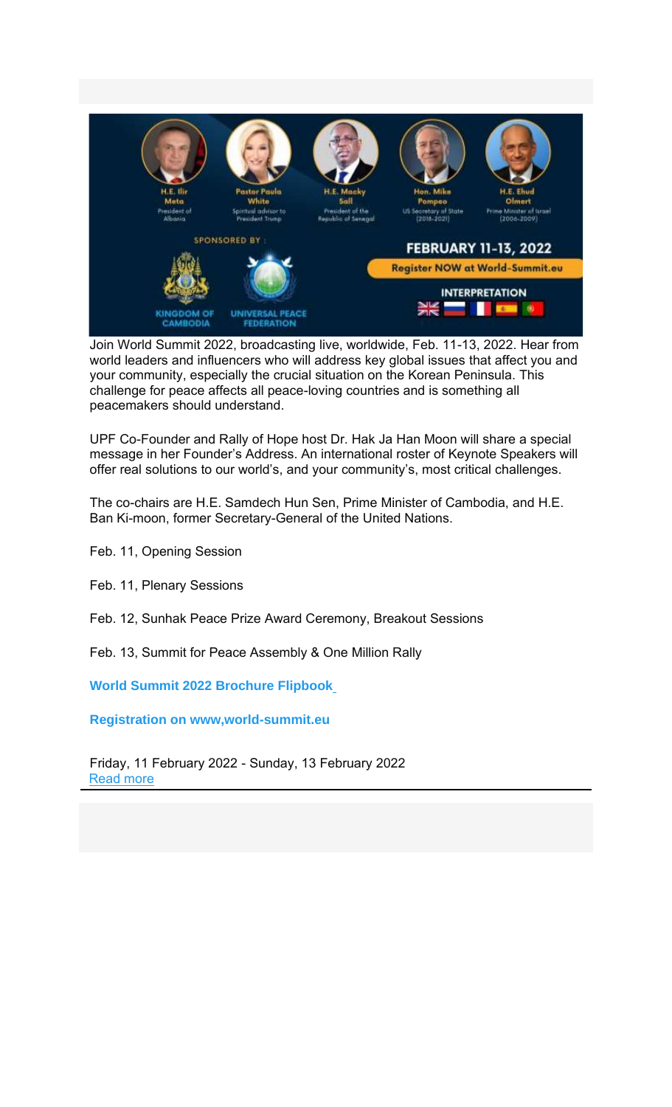

Join World Summit 2022, broadcasting live, worldwide, Feb. 11-13, 2022. Hear from world leaders and influencers who will address key global issues that affect you and your community, especially the crucial situation on the Korean Peninsula. This challenge for peace affects all peace-loving countries and is something all peacemakers should understand.

UPF Co-Founder and Rally of Hope host Dr. Hak Ja Han Moon will share a special message in her Founder's Address. An international roster of Keynote Speakers will offer real solutions to our world's, and your community's, most critical challenges.

The co-chairs are H.E. Samdech Hun Sen, Prime Minister of Cambodia, and H.E. Ban Ki-moon, former Secretary-General of the United Nations.

Feb. 11, Opening Session

Feb. 11, Plenary Sessions

Feb. 12, Sunhak Peace Prize Award Ceremony, Breakout Sessions

Feb. 13, Summit for Peace Assembly & One Million Rally

**World Summit 2022 Brochure Flipbook**

**Registration on www,world-summit.eu**

Friday, 11 February 2022 - Sunday, 13 February 2022 Read more